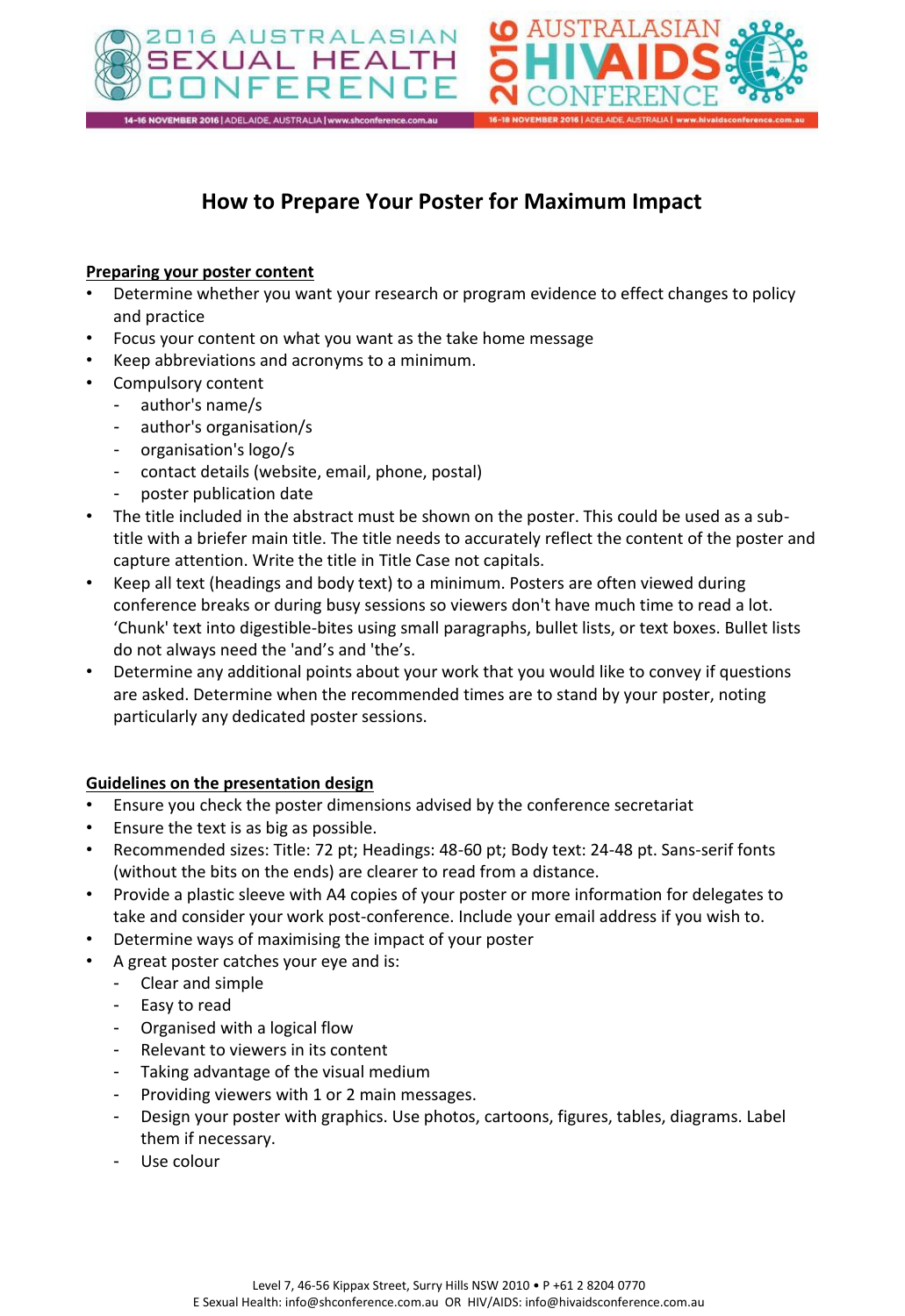

# **How to Prepare Your Poster for Maximum Impact**

# **Preparing your poster content**

- Determine whether you want your research or program evidence to effect changes to policy and practice
- Focus your content on what you want as the take home message
- Keep abbreviations and acronyms to a minimum.
- Compulsory content
	- author's name/s
	- author's organisation/s
	- organisation's logo/s
	- contact details (website, email, phone, postal)
	- poster publication date
- The title included in the abstract must be shown on the poster. This could be used as a subtitle with a briefer main title. The title needs to accurately reflect the content of the poster and capture attention. Write the title in Title Case not capitals.
- Keep all text (headings and body text) to a minimum. Posters are often viewed during conference breaks or during busy sessions so viewers don't have much time to read a lot. 'Chunk' text into digestible-bites using small paragraphs, bullet lists, or text boxes. Bullet lists do not always need the 'and's and 'the's.
- Determine any additional points about your work that you would like to convey if questions are asked. Determine when the recommended times are to stand by your poster, noting particularly any dedicated poster sessions.

### **Guidelines on the presentation design**

- Ensure you check the poster dimensions advised by the conference secretariat
- Ensure the text is as big as possible.
- Recommended sizes: Title: 72 pt; Headings: 48-60 pt; Body text: 24-48 pt. Sans-serif fonts (without the bits on the ends) are clearer to read from a distance.
- Provide a plastic sleeve with A4 copies of your poster or more information for delegates to take and consider your work post-conference. Include your email address if you wish to.
- Determine ways of maximising the impact of your poster
- A great poster catches your eye and is:
	- Clear and simple
	- Easy to read
	- Organised with a logical flow
	- Relevant to viewers in its content
	- Taking advantage of the visual medium
	- Providing viewers with 1 or 2 main messages.
	- Design your poster with graphics. Use photos, cartoons, figures, tables, diagrams. Label them if necessary.
	- Use colour